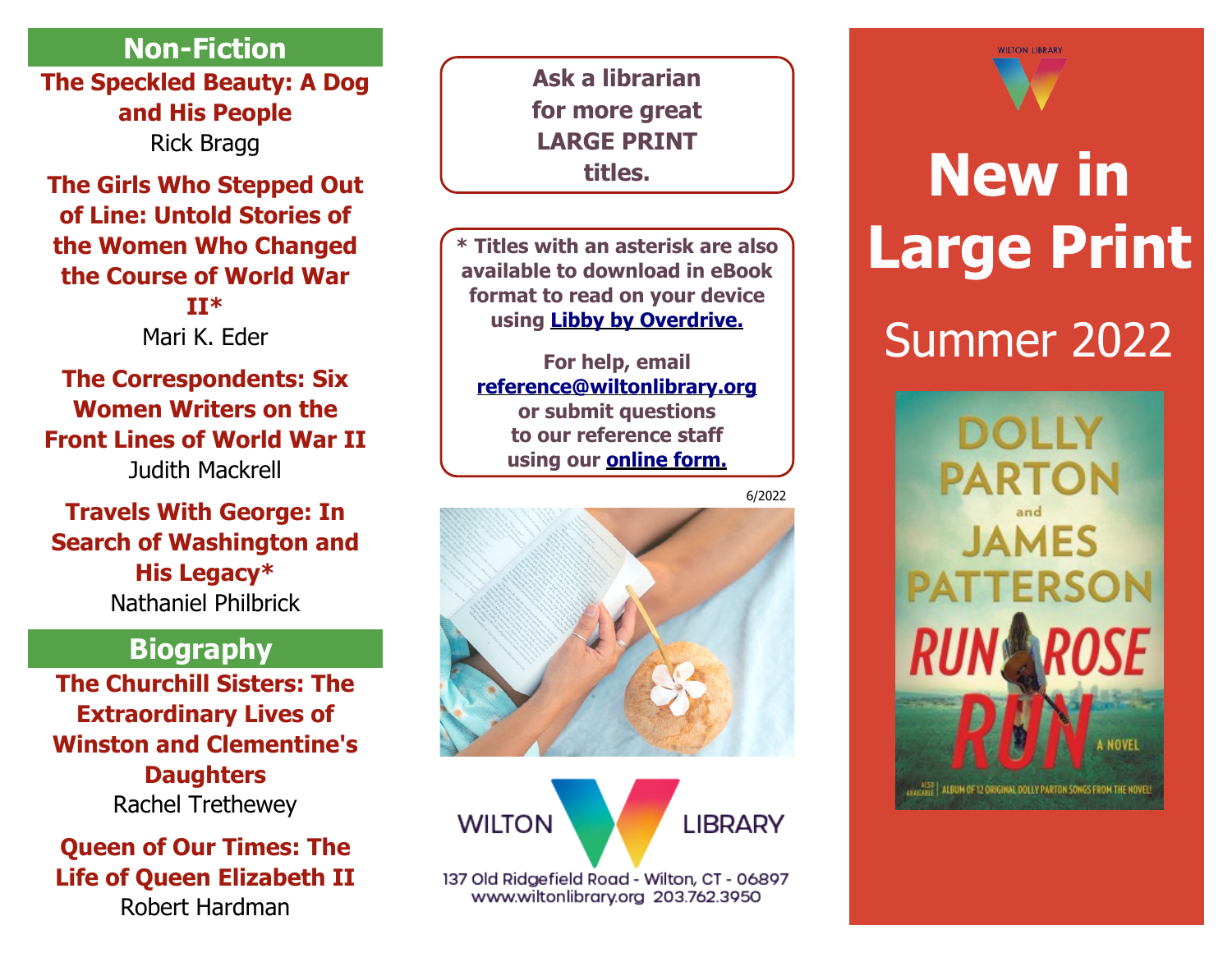## **Non-Fiction**

**[The Speckled Beauty: A Dog](https://libraryaware.com/2JZCK6) [and His People](https://libraryaware.com/2JZCK6)** Rick Bragg

#### **[The Girls Who Stepped Out](https://libraryaware.com/2JZCK7) [of Line: Untold Stories of](https://libraryaware.com/2JZCK7) [the Women Who Changed](https://libraryaware.com/2JZCK7) [the Course of World War](https://libraryaware.com/2JZCK7) [II](https://libraryaware.com/2JZCK7)\***

Mari K. Eder

**[The Correspondents: Six](https://libraryaware.com/2JZCK8) [Women Writers on the](https://libraryaware.com/2JZCK8) [Front Lines of World War II](https://libraryaware.com/2JZCK8)** Judith Mackrell

## **[Travels With George: In](https://libraryaware.com/2JZCK9) [Search of Washington and](https://libraryaware.com/2JZCK9) [His Legacy\\*](https://libraryaware.com/2JZCK9)** Nathaniel Philbrick

# **Biography**

**[The Churchill Sisters: The](https://libraryaware.com/2JZCKA) [Extraordinary Lives of](https://libraryaware.com/2JZCKA) [Winston and Clementine's](https://libraryaware.com/2JZCKA) [Daughters](https://libraryaware.com/2JZCKA)** Rachel Trethewey

### **[Queen of Our Times: The](https://libraryaware.com/2JZCKB) [Life of Queen Elizabeth II](https://libraryaware.com/2JZCKB)**

Robert Hardman

**Ask a librarian for more great LARGE PRINT titles.**

**\* Titles with an asterisk are also available to download in eBook format to read on your device using [Libby by Overdrive.](https://libraryaware.com/2JZCK4)**

**For help, email [reference@wiltonlibrary.org](mailto:reference@wiltonlibrary.org) or submit questions to our reference staff using our [online form.](https://libraryaware.com/2JZCK5)**







137 Old Ridgefield Road - Wilton, CT - 06897 www.wiltonlibrary.org 203.762.3950



# **New in Large Print** Summer 2022**DOLLY PARTON JAMES PATTERSON** A NOVEL AVAILABLE | ALBUM OF 12 ORIGINAL DOLLY PARTON SONGS FROM THE NOVEL